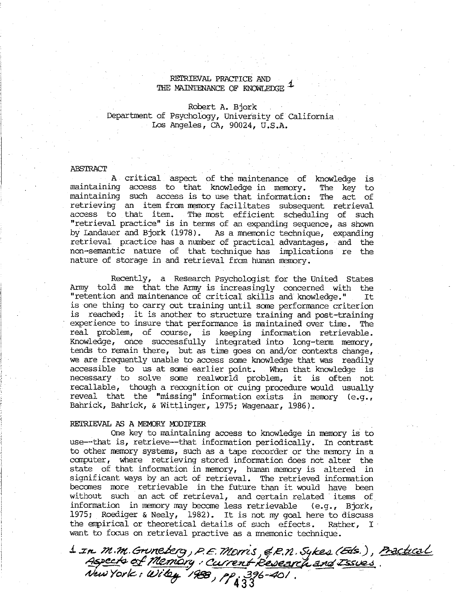### RETRIEVAL PRACTICE AND THE MAINTENANCE OF KNOWLEDGE

## Robert A. Bjork Department of Psychology, University of California Los Angeles, CA, 90024, U.S.A.

#### ABSTRACT

A. critical aspect of the maintenance of knowledge is maintaining access to that knowledge in memory. The key to maintaining such access is to use that information: The act of retrieving an item from memory facilitates subsequent retrieval access to that item. The most efficient scheduling of such "retrieval practice" is in terms of an expanding sequence, as shown by Landauer and Bjork (1978). As a mnemonic technique, expanding retrieval practice has a number of practical advantages, and the non-semantic nature of that technique has implications re the nature of storage in and retrieval from human memory.

Recently, a Research Psychologist for the United States Army told me that the Army is increasingly concerned with the "retention and maintenance of critical skills and knowledge." is one thing to carry out training until some performance criterion is reached; it is another to structure training and post-training ' experience to insure that performance is maintained over time. The real problem, of course, is keeping information retrievable. Knowledge, once successfully integrated into long-term memory, tends to remain there, but as time goes on and/or contexts change, we are frequently unable to access same knowledge that was readily accessible to us at some earlier point. When that knowledge is necessary to solve some realworld problem, it is often not recallable, though a recognition or cuing procedure would usually reveal that the "missing" information exists in memory (e.g., Bahrick, Bahrick, & Wittlinger, 1975; Wagenaar, 1986).

# RETRIEVAL AS A MEMORY MODIFIER .

One key to maintaining access to knowledge in memory is to use—-that is, retrieve--that information periodically. In contrast to other memory systems, such as a tape recorder or the memory in a computer, where retrieving stored information does not alter the state of that information in memory, human memory is altered in significant ways by an act of retrieval. The retrieved information | becomes more retrievable in the future than it would have been without such an act of retrieval, and certain related items of information in memory may become less retrievable (e.g., Bjork, 1975; Roediger & Neely, 1982). It is not my goal here to discuss the empirical or theoretical details of such effects. Rather, I want to focus on retrieval practive as a memonic technique.

 $\Delta$  in  $m.m$ . Grunekerg, P.E. Morris, & R.N. Sykes (Eds.), Practical<br>Aspects of Memory : Current Research and Issues.<br>New York: Wiley '188, PP, 336-401.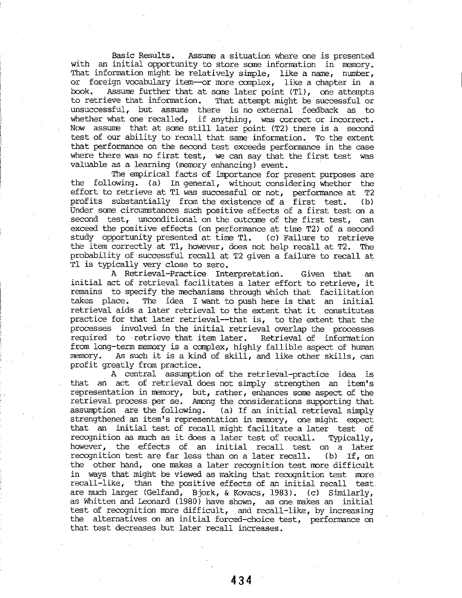Basic Results. Assume a situation where one is presented with an initial opportunity to store some information in memory. That information might be relatively simple, like a name, number, or foreign vocabulary item--or more camplex, like a chapter in a book. Assume further that at same later point (TL), one attempts to retrieve that information. That attempt might be successful or unsuccessful, but assume there is no external feedback as to whether what one recalled, if anything, was correct or incorrect. Now assume that at some still later point (T2) there is a second test of our ability to recall that same information. To the extent that performance on the second test exceeds performance in the case where there was no first test, we can say that the first test was valuable as a learning (memory enhancing) event.

The empirical facts of importance for present purposes are the following. (a) In general, without considering whether the effort to retrieve at Tl was successful or not, performance at T2 profits substantially from the existence of a first test. (b) Under some circumstances such positive effects of a first test on a second test, unconditional on the outcome of the first test, can exceed the positive effects (on performance at time T2) of a second study opportunity presented at time Tl. (c) Failure to retrieve the item correctly at Tl, however, does not help recall at T2. The probability of successful recall at T2 given a failure to recall at Tl is typically very close to zero.

A Retrieval-Practice Interpretation. Given that an initial act of retrieval facilitates a later effort to retrieve, it remains to specify the mechanisms through which that facilitation takes place. The idea I want to push here is that an initial retrieval aids a later retrieval to the extent that it constitutes practice for that later retrieval—that is, to the extent that the processes involved in the initial retrieval overlap the processes required to retrieve that item later. Retrieval of information from long-term memory is a complex, highly fallible aspect of human memory. As such it is a kind of skill, and like other skills, can profit greatly from practice. .

A central. assumption of the retrieval-practice idea is that an act of retrieval does not simply strengthen an item's representation in memory, but, rather, enhances some aspect of the retrieval process per se. Among the considerations supporting that assumption. are the following. (a) If an initial retrieval simply strengthened an item's representation in memory, one might expect that an initial test of recall might facilitate a later test of recognition as much as it does a later test of recall. 'Typically, however, the effects of an initial recall test on a later recognition test are far less than on a later recall. (b) If, on the other hand, one makes a later recognition test more difficult in ways that might be viewed as making that recognition test more recall-like, than the positive effects of an initial recall test are much larger (Gelfand, Bjork, & Kovacs, 1983). (c) Similarly, as Whitten and Leonard (1980) have shown, as one makes an initial test of recognition more difficult, and recall-like, by increasing the alternatives on an initial forced-choice test, performance on that test decreases but later recall increases.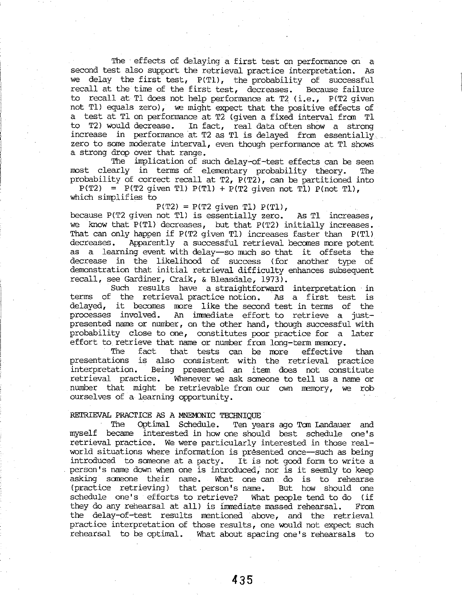The effects of delaying a first test on performance on a second test also support the retrieval practice interpretation. As we delay the first test, P(T1), the probability of successful recall at the time of the first test, decreases. Because failure to recall at. Tl does not help performance at T2 (i.e., P(T2 given not Tl) equals zero), we might expect that the positive effects of a test at Tl on performance at T2 (given a fixed interval fron Tl to 12) would decrease. In fact, real data often show a \_ strong increase in performance at T2 as T1 is delayed from essentially. zero to sane moderate interval, even though performance at Tl shows a strong drop over that range.

The implication of such delay-of-test effects can be seen most. clearly in terms of elementary probability theory. The probability of correct recall at T2, P(T2), can be partitioned into

 $P(T2) = P(T2$  given T1)  $P(T1) + P(T2$  given not T1)  $P(\text{not T1})$ , which simplifies to

 $P(T2) = P(T2$  given T1)  $P(T1)$ ,

because P(T2 given not Tl) is essentially zero. As Tl increases, we know that P(Tl) decreases, but that P(T2) initially increases. That can only happen if P(T2 given Tl) increases faster than P(T1) decreases. Apparently a successful retrieval becomes more potent as a learning event with delay—so much so that it offsets the decrease in the likelihood of success (for another type of demonstration that initial retrieval difficulty enhances subsequent recall, see Gardiner, Craik, & Bleasdale, 1973).

Such results have a straightforward interpretation in terms of the retrieval practice notion. As a first test is delayed, it becomes more like the second test in terms of the processes involved. An immediate effort to retrieve a justpresented name or number, on the other hand, though successful with probability close to one, constitutes poor practice for a later effort to retrieve that name or number fran Long-term memory.

The fact that tests can be more effective than presentations is also consistent with the retrieval practice interpretation. Being presented an item does not constitute retrieval practice. Whenever we ask someone to tell us a name or number that might be retrievable fran our own memory, we rob ourselves of a learning opportunity. .

#### RETRIEVAL PRACTICE AS A MNEMONIC TECHNIQUE

The Optimal Schedule. Ten years ago Tom Landauer and myself became interested in how one should best schedule one's vetrieval practice. We were particularly interested in those realworld situations where information is présented once—such as being introduced to someone at a party. It is not good form to write a person's name down when one is introduced, nor is it seemly to keep asking someone their name. What one can do is to rehearse (practice retrieving) that person's name. But how should one schedule one's efforts to retrieve? What people tend to do (if they do any rehearsal at all) is immediate massed rehearsal. From the delay-of-test results mentioned above, and the retrieval practice interpretation of those results, one would not expect such rehearsal to be optimal. What about spacing one's rehearsals to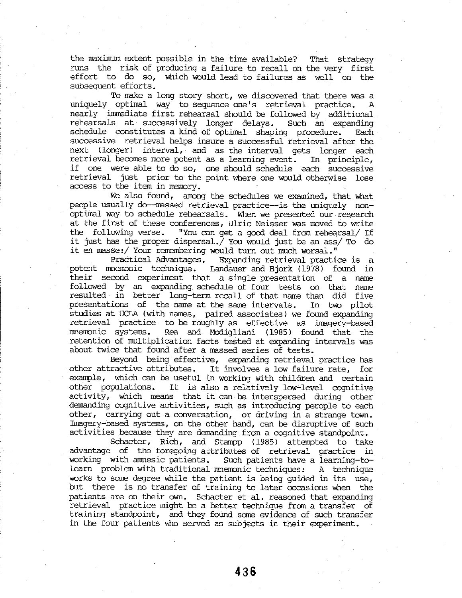the maximum extent possible in the time available? That strategy runs the risk of producing a failure to recall on the very first effort to do so, which would lead to failures as well on the subsequent efforts.

To make a long story short, we discovered that there was a uniquely optimal way to sequence one's retrieval practice. A nearly immediate first rehearsal should be followed by additional rehearsals at successively longer delays. Such an expanding schedule constitutes a kind of optimal shaping procedure. Each successive retrieval helps insure a successful retrieval after the next (longer) interval, and as the interval gets longer each retrieval becomes more potent as a learning event. In principle, if ome were able to do so, one should schedule each successive 'retrieval just prior to the point where one would otherwise lose access to the item in memory.

We also found, among the schedules we examined, that what people usually do—massed retrieval practice—is the uniquely nonoptimal way to schedule rehearsals. When we presented our research at the first of these conferences, Ulric Neisser was moved to write the following verse. "You can get a good deal fran rehearsal/ If it just has the proper dispersal./ You would just be an ass/ To do it en masse:/ Your remembering would turn out much worsal."

Practical Advantages. Expanding retrieval practice is a potent mnemonic technique. Landauer and Bjork (1978) found in their second experiment that a single presentation of a name followed by an expanding schedule of four tests on that name resulted in better long-term recall of that name than did five presentations of the name at the same intervals. In two pilot studies at UCLA (with names, paired associates) we found expanding retrieval practice. to be roughly as effective as imagery—based mnemonic systems. Rea and Modigliani (1985) found that the retention of multiplication facts tested at expanding intervals was about. twice that found after a massed series of tests.

Beyond being effective, expanding retrieval practice has other attractive attributes. It involves a low failure rate, for example, which can be useful in working with children and certain other populations. It is also a relatively low-level cognitive activity, which means that it can be interspersed during other demanding cognitive activities, such as introducing perople to each other, carrying out a conversation, or driving in a strange town. Imagery-based systems, on the other hand, can be disruptive of such activities because they are demanding from a cognitive standpoint.

Schacter, Rich, and Stampp (1985) attempted to take advantage of the foregoing attributes of retrieval practice in working with amnesic patients. Such patients have a learning-tolearn problem with traditional mnemonic techniques: A technique works to some degree while the patient is being guided in its use, but there is no transfer of training to later occasions when the patients are on their own. Schacter et al. reasoned that expanding retrieval practice might be a better technique from a transfer of training standpoint, and they found some evidence of such transfer in the four patients who served as subjects in their experiment.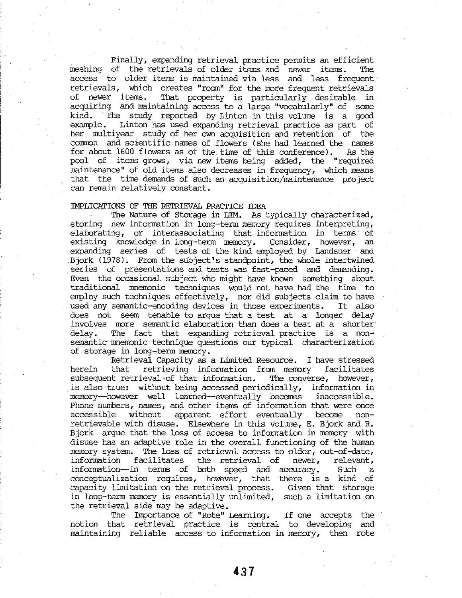Finally, expanding retrieval practice permits an efficient meshing of the retrievals of older items and newer items. The access to older items is maintained via less and less frequent retrievals, which creates "room" for the more frequent retrievals of newer items. That property is particularly desirable in acquiring and maintaining access to a large "vocabularly" of some kind. The study reported by Linton in this volume is a good example. Linton has used expanding retrieval practice as part of her multiyear study of her own acquisition and retention of the common and scientific names of flowers (she had learned the names for about 1600 flowers as of the time of this conference). As the pool of items grows, via new items being added, the "required maintenance" of old items also decreases in frequency, which means that the time demands of such an acquisition/maintenance project can remain relatively constant.

### IMPLICATIONS OF THE RETRIEVAL PRACTICE IDEA

The Nature of Storage in LTM. As typically characterized, storing new information in long-term memory requires interpreting, elaborating, or interassociating that information in terms of existing knowledge in long~term memory. Consider, however, an expanding series of tests of the kind anployed by Landauer and Bjork (1978). From the subject's standpoint, the whole intertwined series of presentations and tests was fast-paced and demanding. Even the occasional subject who might have known something about traditional mnemonic techniques would not have had the time to employ such techniques effectively, nor did subjects claim to have used any semantic-encoding devices in those experiments. It also does not seem tenable to argue that a test at a longer delay involves more semantic elaboration than does a test at a shorter delay. The fact that expanding retrieval practice is a nonsemantic mnemonic technique questions our typical. characterization of. storage in long-term memory.

Retrieval Capacity as a Limited Resource. I have stressed herein that retrieving information from memory facilitates subsequent retrieval-of that information. The converse, however, is also true: without being accessed periodically, information in memory~-however well learned-~eventually becomes inaccessible. Phone numbers, names, and other items of information that were once accessible without apparent effort eventually become nonretrievable with disuse. Elsewhere in this volume, E. Bjork and R. Bjork argue that the loss of access to information in memory with disuse has an adaptive role in the overall functioning of the human memory system. The loss of retrieval access to older, out-of-date, information facilitates the retrieval of newer, relevant, information—-in terms of both speed and accuracy. Such a conceptualization requires, however, that there is a kind of capacity limitation on the retrieval process. Given that storage in long-term memory is essentially unlimited, such a limitation on the retrieval side may be adaptive.

The Importance of "Rote" Learning. If one accepts the notion that retrieval practice is central to developing and maintaining reliable access to information in memory, then rote